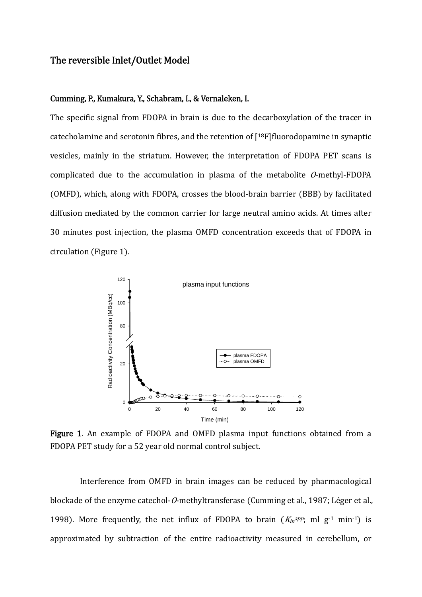## The reversible Inlet/Outlet Model

## Cumming, P., Kumakura, Y., Schabram, I., & Vernaleken, I.

The specific signal from FDOPA in brain is due to the decarboxylation of the tracer in catecholamine and serotonin fibres, and the retention of  $[18F]$ fluorodopamine in synaptic vesicles, mainly in the striatum. However, the interpretation of FDOPA PET scans is complicated due to the accumulation in plasma of the metabolite  $O$ -methyl-FDOPA (OMFD), which, along with FDOPA, crosses the blood-brain barrier (BBB) by facilitated diffusion mediated by the common carrier for large neutral amino acids. At times after 30 minutes post injection, the plasma OMFD concentration exceeds that of FDOPA in circulation (Figure 1).



Figure 1. An example of FDOPA and OMFD plasma input functions obtained from a FDOPA PET study for a 52 year old normal control subject.

Interference from OMFD in brain images can be reduced by pharmacological blockade of the enzyme catechol- $O$ -methyltransferase (Cumming et al., 1987; Léger et al., 1998). More frequently, the net influx of FDOPA to brain  $(K_{in}^{app})$ ; ml  $g^{-1}$  min<sup>-1</sup>) is approximated by subtraction of the entire radioactivity measured in cerebellum, or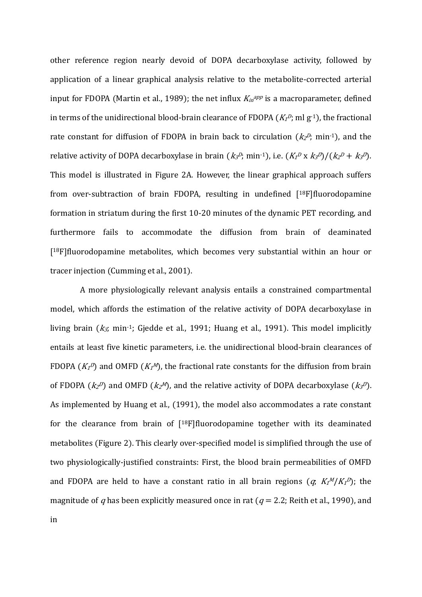other reference region nearly devoid of DOPA decarboxylase activity, followed by application of a linear graphical analysis relative to the metabolite-corrected arterial input for FDOPA (Martin et al., 1989); the net influx  $K_{in}^{app}$  is a macroparameter, defined in terms of the unidirectional blood-brain clearance of FDOPA ( $K_1^D$ ; ml  $g^{-1}$ ), the fractional rate constant for diffusion of FDOPA in brain back to circulation  $(kz^p)$ ; min<sup>-1</sup>), and the relative activity of DOPA decarboxylase in brain  $(k_3^p$ ; min<sup>-1</sup>), i.e.  $(K_1^p \times k_3^p)/(k_2^p + k_3^p)$ . This model is illustrated in Figure 2A. However, the linear graphical approach suffers from over-subtraction of brain FDOPA, resulting in undefined  $[18F]$ fluorodopamine formation in striatum during the first 10‐20 minutes of the dynamic PET recording, and furthermore fails to accommodate the diffusion from brain of deaminated  $[18F]$ fluorodopamine metabolites, which becomes very substantial within an hour or tracer injection (Cumming et al., 2001).

A more physiologically relevant analysis entails a constrained compartmental model, which affords the estimation of the relative activity of DOPA decarboxylase in living brain  $(k_3$ ; min<sup>-1</sup>; Gjedde et al., 1991; Huang et al., 1991). This model implicitly entails at least five kinetic parameters, i.e. the unidirectional blood‐brain clearances of FDOPA  $(K_1^D)$  and OMFD  $(K_1^M)$ , the fractional rate constants for the diffusion from brain of FDOPA  $(kz^D)$  and OMFD  $(kz^M)$ , and the relative activity of DOPA decarboxylase  $(kz^D)$ . As implemented by Huang et al., (1991), the model also accommodates a rate constant for the clearance from brain of  $[18F]$ fluorodopamine together with its deaminated metabolites (Figure 2). This clearly over-specified model is simplified through the use of two physiologically‐justified constraints: First, the blood brain permeabilities of OMFD and FDOPA are held to have a constant ratio in all brain regions  $(q, K_1M/K_1D)$ ; the magnitude of q has been explicitly measured once in rat ( $q = 2.2$ ; Reith et al., 1990), and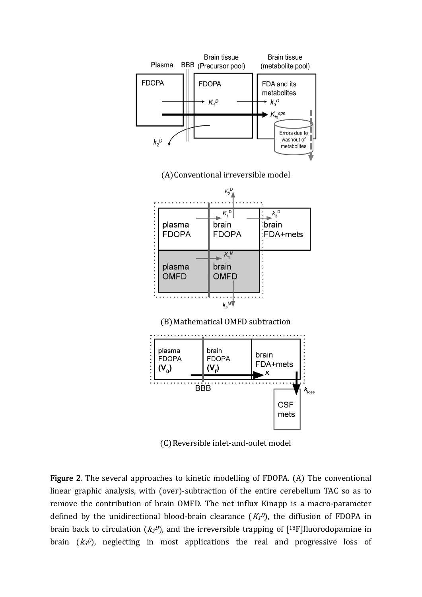

(C) Reversible inlet-and-oulet model

Figure 2. The several approaches to kinetic modelling of FDOPA. (A) The conventional linear graphic analysis, with (over)-subtraction of the entire cerebellum TAC so as to remove the contribution of brain OMFD. The net influx Kinapp is a macro-parameter defined by the unidirectional blood-brain clearance  $(K_I^D)$ , the diffusion of FDOPA in brain back to circulation ( $kz^p$ ), and the irreversible trapping of  $\lceil 18F \rceil$ fluorodopamine in brain  $(k_3\ell)$ , neglecting in most applications the real and progressive loss of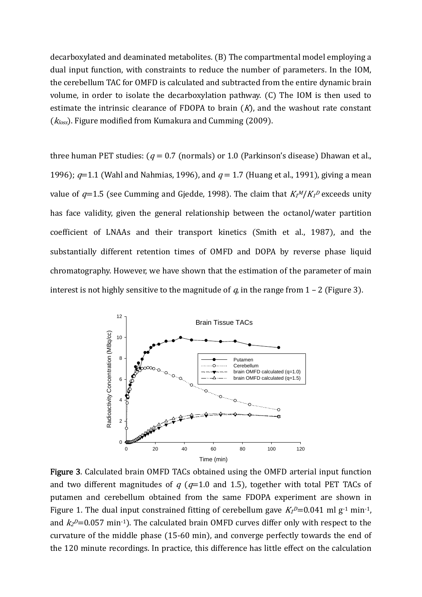decarboxylated and deaminated metabolites. (B) The compartmental model employing a dual input function, with constraints to reduce the number of parameters. In the IOM, the cerebellum TAC for OMFD is calculated and subtracted from the entire dynamic brain volume, in order to isolate the decarboxylation pathway. (C) The IOM is then used to estimate the intrinsic clearance of  $FDOPA$  to brain  $(K)$ , and the washout rate constant  $(k_{loss})$ . Figure modified from Kumakura and Cumming (2009).

three human PET studies:  $(q = 0.7$  (normals) or 1.0 (Parkinson's disease) Dhawan et al., 1996);  $q=1.1$  (Wahl and Nahmias, 1996), and  $q=1.7$  (Huang et al., 1991), giving a mean value of  $q=1.5$  (see Cumming and Gjedde, 1998). The claim that  $K_l$ <sup>M</sup>/ $K_l$ <sup>D</sup> exceeds unity has face validity, given the general relationship between the octanol/water partition coefficient of LNAAs and their transport kinetics (Smith et al., 1987), and the substantially different retention times of OMFD and DOPA by reverse phase liquid chromatography. However, we have shown that the estimation of the parameter of main interest is not highly sensitive to the magnitude of  $q$ , in the range from  $1 - 2$  (Figure 3).



Figure 3. Calculated brain OMFD TACs obtained using the OMFD arterial input function and two different magnitudes of  $q$  ( $q=1.0$  and 1.5), together with total PET TACs of putamen and cerebellum obtained from the same FDOPA experiment are shown in Figure 1. The dual input constrained fitting of cerebellum gave  $K_1P=0.041$  ml g<sup>-1</sup> min<sup>-1</sup>, and  $k_2$ <sup> $D$ </sup>=0.057 min<sup>-1</sup>). The calculated brain OMFD curves differ only with respect to the curvature of the middle phase  $(15{\text -}60 \text{ min})$ , and converge perfectly towards the end of the 120 minute recordings. In practice, this difference has little effect on the calculation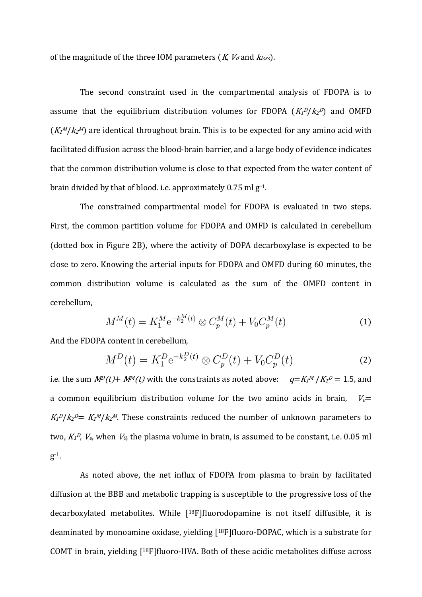of the magnitude of the three IOM parameters  $(K, V_d$  and  $k_{loss}$ ).

The second constraint used in the compartmental analysis of FDOPA is to assume that the equilibrium distribution volumes for FDOPA  $(K_1^p/K_2^p)$  and OMFD  $(K<sub>I</sub><sup>M</sup>/K<sub>2</sub><sup>M</sup>)$  are identical throughout brain. This is to be expected for any amino acid with facilitated diffusion across the blood‐brain barrier, and a large body of evidence indicates that the common distribution volume is close to that expected from the water content of brain divided by that of blood. i.e. approximately 0.75 ml g‐1.

The constrained compartmental model for FDOPA is evaluated in two steps. First, the common partition volume for FDOPA and OMFD is calculated in cerebellum  $d$  (dotted box in Figure 2B), where the activity of DOPA decarboxylase is expected to be close to zero. Knowing the arterial inputs for FDOPA and OMFD during 60 minutes, the common distribution volume is calculated as the sum of the OMFD content in cerebellum,

$$
M^{M}(t) = K_{1}^{M} e^{-k_{2}^{M}(t)} \otimes C_{p}^{M}(t) + V_{0} C_{p}^{M}(t)
$$
\n(1)

And the FDOPA content in cerebellum,

$$
M^{D}(t) = K_{1}^{D} e^{-k_{2}^{D}(t)} \otimes C_{p}^{D}(t) + V_{0} C_{p}^{D}(t)
$$
\n(2)

i.e. the sum  $M^p(t)$ +  $M^M(t)$  with the constraints as noted above:  $q = K_l^M / K_l^p = 1.5$ , and a common equilibrium distribution volume for the two amino acids in brain,  $V_{e}$ =  $K_I^D/k_2^D = K_I^M/k_2^M$ . These constraints reduced the number of unknown parameters to two,  $K_1^D$ ,  $V_e$ , when  $V_0$ , the plasma volume in brain, is assumed to be constant, i.e. 0.05 ml  $g^{-1}$ .

As noted above, the net influx of FDOPA from plasma to brain by facilitated diffusion at the BBB and metabolic trapping is susceptible to the progressive loss of the decarboxylated metabolites. While  $[18F]$ fluorodopamine is not itself diffusible, it is deaminated by monoamine oxidase, yielding  $[18F]$ fluoro-DOPAC, which is a substrate for COMT in brain, yielding  $[18F]$ fluoro-HVA. Both of these acidic metabolites diffuse across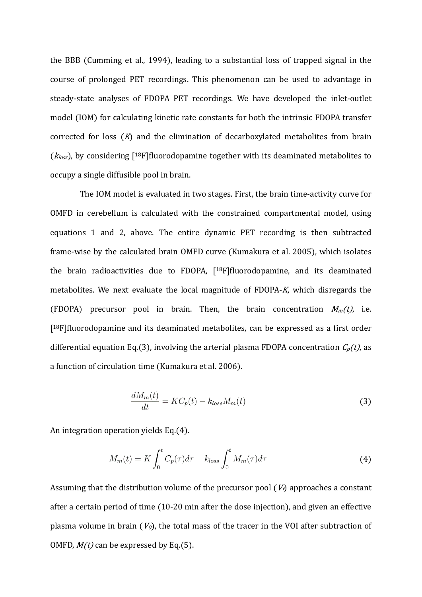the BBB (Cumming et al., 1994), leading to a substantial loss of trapped signal in the course of prolonged PET recordings. This phenomenon can be used to advantage in steady-state analyses of FDOPA PET recordings. We have developed the inlet-outlet model (IOM) for calculating kinetic rate constants for both the intrinsic FDOPA transfer corrected for loss  $(K)$  and the elimination of decarboxylated metabolites from brain  $(k_{loss})$ , by considering [<sup>18</sup>F] fluorodopamine together with its deaminated metabolites to occupy a single diffusible pool in brain.

The IOM model is evaluated in two stages. First, the brain time-activity curve for OMFD in cerebellum is calculated with the constrained compartmental model, using equations 1 and 2, above. The entire dynamic PET recording is then subtracted frame-wise by the calculated brain OMFD curve (Kumakura et al. 2005), which isolates the brain radioactivities due to FDOPA, [<sup>18</sup>F]fluorodopamine, and its deaminated metabolites. We next evaluate the local magnitude of FDOPA-K, which disregards the (FDOPA) precursor pool in brain. Then, the brain concentration  $M_m(t)$ , i.e.  $[18F]$ fluorodopamine and its deaminated metabolites, can be expressed as a first order differential equation Eq.(3), involving the arterial plasma FDOPA concentration  $C_p(t)$ , as a function of circulation time (Kumakura et al. 2006).

$$
\frac{dM_m(t)}{dt} = KC_p(t) - k_{loss}M_m(t)
$$
\n(3)

An integration operation yields Eq.(4).

$$
M_m(t) = K \int_0^t C_p(\tau) d\tau - k_{loss} \int_0^t M_m(\tau) d\tau
$$
\n(4)

Assuming that the distribution volume of the precursor pool  $(V_t)$  approaches a constant after a certain period of time (10-20 min after the dose injection), and given an effective plasma volume in brain  $(V<sub>0</sub>)$ , the total mass of the tracer in the VOI after subtraction of OMFD,  $M(t)$  can be expressed by Eq.(5).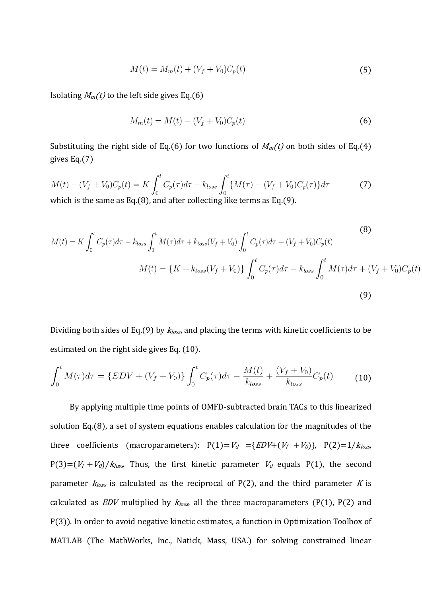$$
M(t) = M_m(t) + (V_f + V_0)C_p(t)
$$
\n(5)

Isolating  $M_m(t)$  to the left side gives Eq.(6)

$$
M_m(t) = M(t) - (V_f + V_0)C_p(t)
$$
\n(6)

Substituting the right side of Eq.(6) for two functions of  $M_m(t)$  on both sides of Eq.(4) gives  $Eq.(7)$ 

$$
M(t) - (V_f + V_0)C_p(t) = K \int_0^t C_p(\tau)d\tau - k_{loss} \int_0^t \{ M(\tau) - (V_f + V_0)C_p(\tau) \} d\tau
$$
\nwhich is the same as Eq. (8), and after collecting like terms as Eq. (9).

which is the same as Eq.(8), and after collecting like terms as Eq.(9).

$$
M(t) = K \int_0^t C_p(\tau) d\tau - k_{loss} \int_0^t M(\tau) d\tau + k_{loss} (V_f + V_0) \int_0^t C_p(\tau) d\tau + (V_f + V_0) C_p(t)
$$
\n
$$
M(t) = \{ K + k_{loss} (V_f + V_0) \} \int_0^t C_p(\tau) d\tau - k_{loss} \int_0^t M(\tau) d\tau + (V_f + V_0) C_p(t)
$$
\n(9)

Dividing both sides of Eq.(9) by  $k_{loss}$ , and placing the terms with kinetic coefficients to be estimated on the right side gives Eq. (10).

$$
\int_0^t M(\tau)d\tau = \{EDV + (V_f + V_0)\} \int_0^t C_p(\tau)d\tau - \frac{M(t)}{k_{loss}} + \frac{(V_f + V_0)}{k_{loss}} C_p(t) \tag{10}
$$

By applying multiple time points of OMFD-subtracted brain TACs to this linearized solution Eq.(8), a set of system equations enables calculation for the magnitudes of the three coefficients (macroparameters):  $P(1) = V_d = {EDV + (V_f + V_0)}, P(2) = 1/k_{loss}$  $P(3)=(V_f+V_0)/k_{loss}$ . Thus, the first kinetic parameter  $V_d$  equals  $P(1)$ , the second parameter  $k_{loss}$  is calculated as the reciprocal of P(2), and the third parameter K is calculated as  $EDV$  multiplied by  $k_{loss}$  all the three macroparameters (P(1), P(2) and P(3)). In order to avoid negative kinetic estimates, a function in Optimization Toolbox of MATLAB (The MathWorks, Inc., Natick, Mass, USA.) for solving constrained linear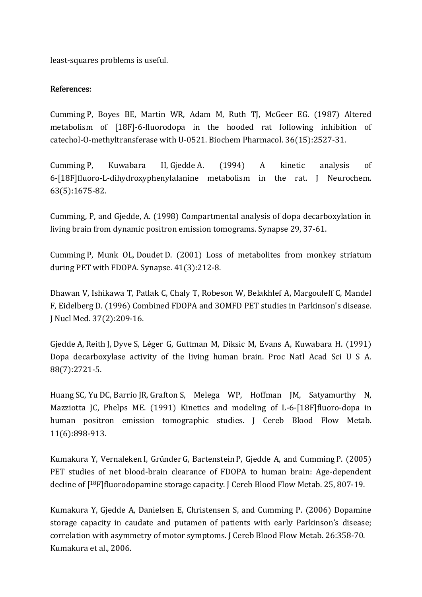least‐squares problems is useful.

## References:

Cumming P, Boyes BE, Martin WR, Adam M, Ruth TJ, McGeer EG. (1987) Altered metabolism of [18F]-6-fluorodopa in the hooded rat following inhibition of catechol-O-methyltransferase with U-0521. Biochem Pharmacol. 36(15):2527-31.

Cumming P, Kuwabara H, Gjedde A. (1994) A kinetic analysis of 6-[18F]fluoro-L-dihydroxyphenylalanine metabolism in the rat. J Neurochem. 63(5):1675-82.

Cumming, P, and Gjedde, A. (1998) Compartmental analysis of dopa decarboxylation in living brain from dynamic positron emission tomograms. Synapse 29, 37‐61.

Cumming P, Munk OL, Doudet D. (2001) Loss of metabolites from monkey striatum during PET with FDOPA. Synapse.  $41(3):212-8$ .

Dhawan V, Ishikawa T, Patlak C, Chaly T, Robeson W, Belakhlef A, Margouleff C, Mandel F, Eidelberg D. (1996) Combined FDOPA and 3OMFD PET studies in Parkinson's disease. J Nucl Med. 37(2):209-16.

Gjedde A, Reith J, Dyve S, Léger G, Guttman M, Diksic M, Evans A, Kuwabara H. (1991) Dopa decarboxylase activity of the living human brain. Proc Natl Acad Sci U S A. 88(7):2721-5.

Huang SC, Yu DC, Barrio JR, Grafton S, Melega WP, Hoffman JM, Satyamurthy N, Mazziotta JC, Phelps ME. (1991) Kinetics and modeling of L-6-[18F]fluoro-dopa in human positron emission tomographic studies. J Cereb Blood Flow Metab. 11(6):898-913.

Kumakura Y, Vernaleken I, Gründer G, Bartenstein P, Gjedde A, and Cumming P. (2005) PET studies of net blood-brain clearance of FDOPA to human brain: Age-dependent decline of  $[18F]$ fluorodopamine storage capacity. J Cereb Blood Flow Metab. 25, 807-19.

Kumakura Y, Gjedde A, Danielsen E, Christensen S, and Cumming P. (2006) Dopamine storage capacity in caudate and putamen of patients with early Parkinson's disease; correlation with asymmetry of motor symptoms. J Cereb Blood Flow Metab. 26:358‐70. Kumakura et al., 2006.